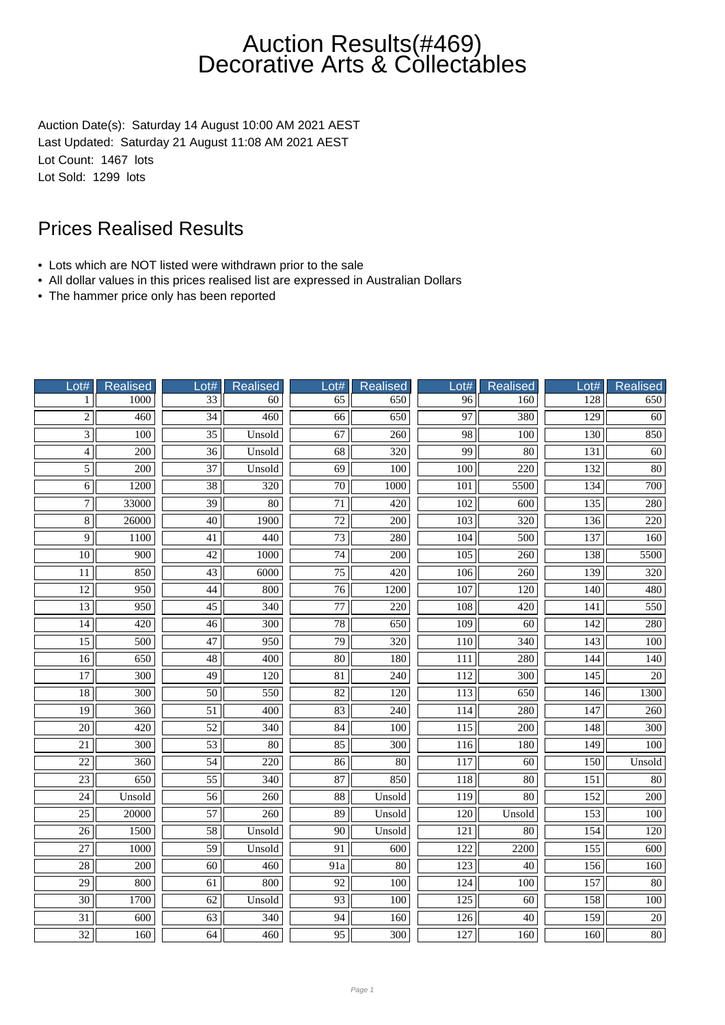Auction Date(s): Saturday 14 August 10:00 AM 2021 AEST Last Updated: Saturday 21 August 11:08 AM 2021 AEST Lot Count: 1467 lots Lot Sold: 1299 lots

- Lots which are NOT listed were withdrawn prior to the sale
- All dollar values in this prices realised list are expressed in Australian Dollars
- The hammer price only has been reported

| Lot#            | <b>Realised</b>  | Lot#            | <b>Realised</b>  | Lot#                | <b>Realised</b>  | Lot#             | Realised         | Lot#             | <b>Realised</b>  |
|-----------------|------------------|-----------------|------------------|---------------------|------------------|------------------|------------------|------------------|------------------|
| 1               | 1000             | 33              | 60               | 65                  | 650              | 96               | 160              | 128              | 650              |
| $\overline{2}$  | 460              | $\overline{34}$ | 460              | 66                  | 650              | 97               | 380              | 129              | 60               |
| $\overline{3}$  | $\overline{100}$ | $\overline{35}$ | Unsold           | 67                  | 260              | 98               | 100              | 130              | 850              |
| $\overline{4}$  | 200              | $\overline{36}$ | Unsold           | 68                  | 320              | 99               | 80               | 131              | 60               |
| $\overline{5}$  | 200              | $\overline{37}$ | Unsold           | 69                  | 100              | 100              | 220              | 132              | 80               |
| $\overline{6}$  | 1200             | $\overline{38}$ | 320              | $\overline{70}$     | 1000             | 101              | 5500             | 134              | 700              |
| $\overline{7}$  | 33000            | $\overline{39}$ | $\overline{80}$  | $\overline{71}$     | 420              | $\overline{102}$ | $\overline{600}$ | 135              | 280              |
| 8               | 26000            | 40              | 1900             | $\overline{72}$     | $\overline{200}$ | 103              | $\overline{320}$ | 136              | $\overline{220}$ |
| $\overline{9}$  | 1100             | 41              | 440              | 73                  | 280              | 104              | 500              | 137              | 160              |
| $10\,$          | 900              | 42              | 1000             | 74                  | 200              | 105              | 260              | 138              | 5500             |
| 11              | 850              | 43              | 6000             | 75                  | 420              | 106              | 260              | 139              | 320              |
| $\overline{12}$ | 950              | 44              | 800              | 76                  | 1200             | 107              | $\overline{120}$ | 140              | 480              |
| $\overline{13}$ | 950              | $\overline{45}$ | 340              | $\overline{77}$     | $\overline{220}$ | 108              | $\overline{420}$ | 141              | 550              |
| 14              | 420              | 46              | 300              | 78                  | 650              | 109              | 60               | 142              | 280              |
| $\overline{15}$ | 500              | 47              | 950              | 79                  | 320              | 110              | 340              | $\overline{143}$ | 100              |
| 16              | 650              | 48              | 400              | 80                  | 180              | 111              | 280              | 144              | 140              |
| $\overline{17}$ | $\overline{300}$ | $\overline{49}$ | 120              | $\overline{81}$     | $\overline{240}$ | 112              | $\overline{300}$ | 145              | $\overline{20}$  |
| $\overline{18}$ | 300              | $\overline{50}$ | 550              | $\overline{82}$     | 120              | 113              | 650              | 146              | 1300             |
| $\overline{19}$ | $\overline{360}$ | $\overline{51}$ | 400              | 83                  | 240              | 114              | 280              | $\overline{147}$ | 260              |
| $\overline{20}$ | 420              | 52              | 340              | 84                  | 100              | 115              | 200              | 148              | 300              |
| 21              | 300              | 53              | 80               | 85                  | 300              | 116              | 180              | 149              | 100              |
| $\overline{22}$ | 360              | $\overline{54}$ | $\overline{220}$ | $\overline{86}$     | $\overline{80}$  | $\overline{117}$ | 60               | 150              | Unsold           |
| $\overline{23}$ | 650              | $\overline{55}$ | $\overline{340}$ | 87                  | 850              | $\overline{118}$ | $\overline{80}$  | $\overline{151}$ | $\overline{80}$  |
| $\overline{24}$ | Unsold           | $\overline{56}$ | 260              | $\overline{\bf 88}$ | Unsold           | 119              | 80               | 152              | $\overline{200}$ |
| $\overline{25}$ | 20000            | 57              | 260              | 89                  | Unsold           | 120              | Unsold           | 153              | 100              |
| 26              | 1500             | 58              | Unsold           | 90                  | Unsold           | 121              | 80               | 154              | 120              |
| $\overline{27}$ | 1000             | $\overline{59}$ | Unsold           | $\overline{91}$     | 600              | $\overline{122}$ | 2200             | 155              | $\overline{600}$ |
| $\overline{28}$ | 200              | $\overline{60}$ | 460              | $\overline{91a}$    | $\overline{80}$  | $\overline{123}$ | 40               | 156              | 160              |
| $\overline{29}$ | 800              | $\overline{61}$ | 800              | 92                  | $\overline{100}$ | $\overline{124}$ | $\overline{100}$ | 157              | $\overline{80}$  |
| $\overline{30}$ | 1700             | 62              | Unsold           | 93                  | 100              | $\overline{125}$ | $\overline{60}$  | 158              | 100              |
| $\overline{31}$ | 600              | $\overline{63}$ | 340              | $\overline{94}$     | 160              | 126              | 40               | 159              | $\overline{20}$  |
| $\overline{32}$ | 160              | 64              | 460              | 95                  | 300              | 127              | 160              | 160              | $80\,$           |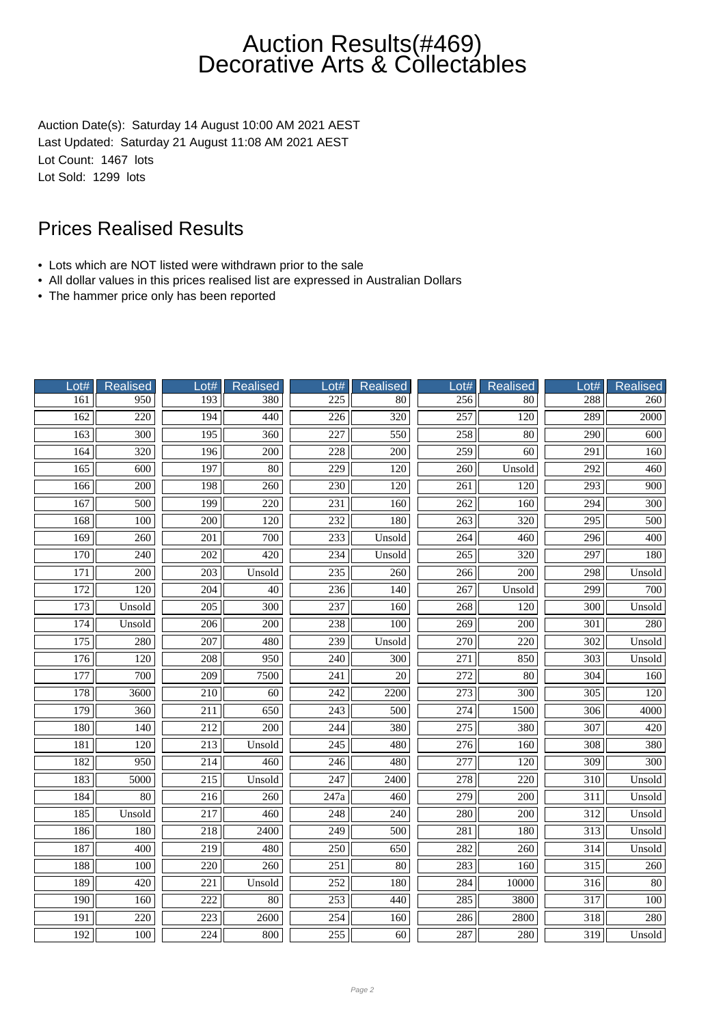Auction Date(s): Saturday 14 August 10:00 AM 2021 AEST Last Updated: Saturday 21 August 11:08 AM 2021 AEST Lot Count: 1467 lots Lot Sold: 1299 lots

- Lots which are NOT listed were withdrawn prior to the sale
- All dollar values in this prices realised list are expressed in Australian Dollars
- The hammer price only has been reported

| Lot#             | <b>Realised</b>  | Lot#             | <b>Realised</b>  | $_0$ ot#          | <b>Realised</b>   | $_0$ ot#         | Realised         | Lot#             | <b>Realised</b>  |
|------------------|------------------|------------------|------------------|-------------------|-------------------|------------------|------------------|------------------|------------------|
| 161              | 950              | 193              | 380              | 225               | 80                | 256              | 80               | 288              | 260              |
| 162              | $\overline{220}$ | 194              | 440              | $\overline{226}$  | $\overline{320}$  | 257              | 120              | 289              | 2000             |
| 163              | $\overline{300}$ | 195              | 360              | 227               | 550               | 258              | 80               | $\overline{290}$ | 600              |
| 164              | 320              | 196              | 200              | 228               | 200               | 259              | 60               | 291              | 160              |
| 165              | 600              | 197              | 80               | 229               | 120               | 260              | Unsold           | 292              | 460              |
| 166              | $\overline{200}$ | 198              | 260              | 230               | 120               | 261              | $\overline{120}$ | $\overline{293}$ | $\overline{900}$ |
| 167              | 500              | 199              | $\overline{220}$ | 231               | 160               | 262              | 160              | 294              | 300              |
| 168              | $\overline{100}$ | $\overline{200}$ | $\overline{120}$ | 232               | 180               | $\overline{263}$ | 320              | $\overline{295}$ | $\overline{500}$ |
| 169              | 260              | 201              | 700              | 233               | Unsold            | 264              | 460              | 296              | 400              |
| 170              | 240              | 202              | 420              | 234               | Unsold            | 265              | 320              | 297              | 180              |
| 171              | 200              | 203              | Unsold           | 235               | 260               | 266              | 200              | 298              | Unsold           |
| $\overline{172}$ | $\overline{120}$ | $\overline{204}$ | 40               | 236               | $\overline{140}$  | 267              | Unsold           | $\overline{299}$ | $\overline{700}$ |
| 173              | Unsold           | $\overline{205}$ | $\overline{300}$ | 237               | 160               | 268              | $\overline{120}$ | $\overline{300}$ | Unsold           |
| 174              | Unsold           | 206              | $\overline{200}$ | 238               | 100               | 269              | $\overline{200}$ | $\overline{301}$ | 280              |
| $\overline{175}$ | 280              | $\overline{207}$ | 480              | 239               | Unsold            | 270              | 220              | 302              | Unsold           |
| 176              | 120              | 208              | 950              | 240               | 300               | 271              | 850              | 303              | Unsold           |
| 177              | $\overline{700}$ | $\overline{209}$ | 7500             | 241               | $\overline{20}$   | $\overline{272}$ | $\overline{80}$  | $\overline{304}$ | 160              |
| 178              | 3600             | 210              | 60               | 242               | 2200              | 273              | 300              | 305              | 120              |
| 179              | 360              | 211              | 650              | $\overline{243}$  | 500               | 274              | 1500             | 306              | 4000             |
| 180              | 140              | 212              | 200              | 244               | 380               | 275              | 380              | 307              | 420              |
| 181              | 120              | 213              | Unsold           | 245               | 480               | 276              | 160              | 308              | 380              |
| 182              | 950              | 214              | 460              | 246               | 480               | $\overline{277}$ | $\overline{120}$ | 309              | $\overline{300}$ |
| 183              | 5000             | $\overline{215}$ | Unsold           | $\overline{247}$  | $\overline{2400}$ | $\overline{278}$ | $\overline{220}$ | $\overline{310}$ | Unsold           |
| 184              | $\overline{80}$  | $\overline{216}$ | 260              | $\overline{247a}$ | 460               | 279              | $\overline{200}$ | $\overline{311}$ | Unsold           |
| 185              | Unsold           | 217              | 460              | 248               | 240               | 280              | 200              | 312              | Unsold           |
| 186              | 180              | 218              | 2400             | 249               | 500               | 281              | 180              | $\overline{313}$ | Unsold           |
| 187              | 400              | 219              | 480              | 250               | 650               | 282              | 260              | 314              | Unsold           |
| 188              | 100              | $\overline{220}$ | 260              | $\overline{251}$  | $\overline{80}$   | $\overline{283}$ | 160              | $\overline{315}$ | 260              |
| 189              | 420              | 221              | Unsold           | 252               | 180               | 284              | 10000            | 316              | 80               |
| 190              | 160              | 222              | 80               | 253               | 440               | 285              | 3800             | $\overline{317}$ | 100              |
| $\overline{191}$ | 220              | 223              | 2600             | 254               | 160               | 286              | 2800             | 318              | 280              |
| 192              | 100              | 224              | 800              | 255               | 60                | 287              | 280              | 319              | Unsold           |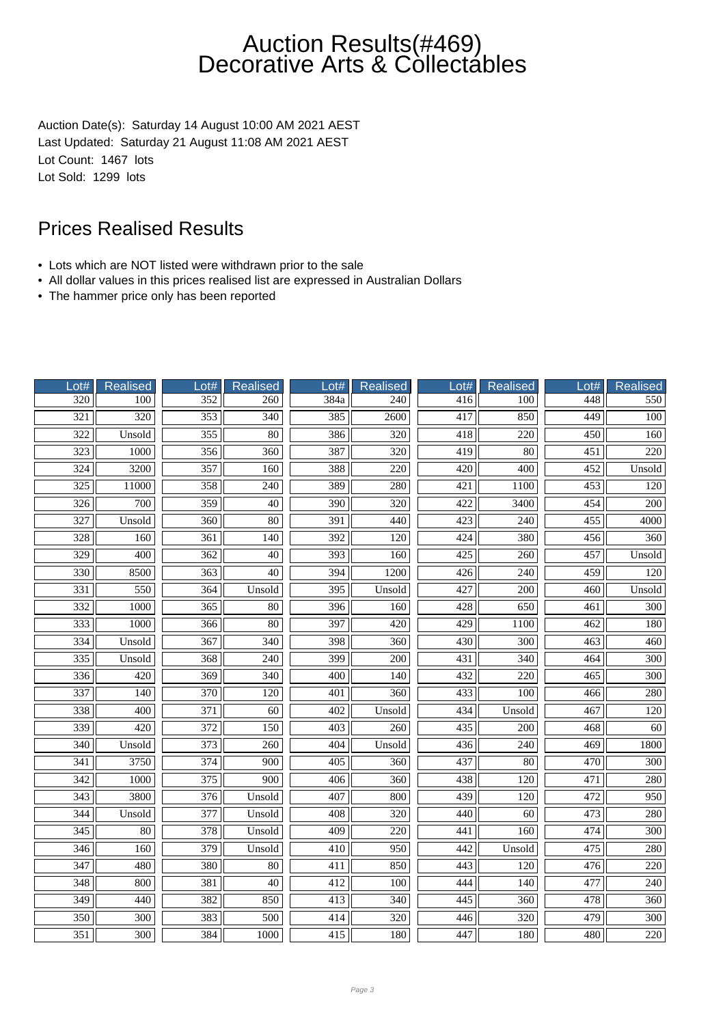Auction Date(s): Saturday 14 August 10:00 AM 2021 AEST Last Updated: Saturday 21 August 11:08 AM 2021 AEST Lot Count: 1467 lots Lot Sold: 1299 lots

- Lots which are NOT listed were withdrawn prior to the sale
- All dollar values in this prices realised list are expressed in Australian Dollars
- The hammer price only has been reported

| Lot#             | Realised         | Lot#             | <b>Realised</b>  | Lot#             | <b>Realised</b>  | Lot#             | <b>Realised</b>  | Lot#             | <b>Realised</b>  |
|------------------|------------------|------------------|------------------|------------------|------------------|------------------|------------------|------------------|------------------|
| 320              | 100              | 352              | 260              | 384a             | 240              | 416              | 100              | 448              | 550              |
| $\overline{321}$ | 320              | 353              | $\overline{340}$ | 385              | $\frac{2600}{ }$ | 417              | 850              | 449              | 100              |
| 322              | Unsold           | 355              | 80               | 386              | 320              | 418              | 220              | 450              | 160              |
| 323              | 1000             | 356              | 360              | 387              | 320              | 419              | 80               | 451              | 220              |
| 324              | 3200             | $\overline{357}$ | 160              | 388              | 220              | 420              | 400              | 452              | Unsold           |
| $\overline{325}$ | 11000            | 358              | 240              | 389              | 280              | 421              | 1100             | 453              | 120              |
| $\overline{326}$ | $\overline{700}$ | 359              | $\overline{40}$  | 390              | $\overline{320}$ | $\overline{422}$ | 3400             | 454              | $\overline{200}$ |
| $\overline{327}$ | Unsold           | 360              | 80               | 391              | 440              | 423              | $\overline{240}$ | 455              | 4000             |
| 328              | 160              | 361              | 140              | 392              | 120              | 424              | 380              | 456              | 360              |
| 329              | 400              | 362              | 40               | 393              | 160              | 425              | 260              | 457              | Unsold           |
| 330              | 8500             | 363              | $\overline{40}$  | 394              | 1200             | 426              | 240              | 459              | 120              |
| $\overline{331}$ | $\frac{550}{ }$  | 364              | Unsold           | $\overline{395}$ | Unsold           | 427              | $\overline{200}$ | $\overline{460}$ | Unsold           |
| $\overline{332}$ | 1000             | 365              | $80\,$           | 396              | 160              | 428              | 650              | 461              | 300              |
| 333              | 1000             | 366              | $\overline{80}$  | 397              | 420              | 429              | 1100             | 462              | 180              |
| 334              | Unsold           | 367              | 340              | 398              | 360              | 430              | 300              | $\overline{463}$ | 460              |
| 335              | Unsold           | 368              | 240              | 399              | 200              | 431              | 340              | 464              | 300              |
| $\frac{1}{336}$  | 420              | $\overline{369}$ | $\overline{340}$ | $\overline{400}$ | 140              | 432              | 220              | $\overline{465}$ | 300              |
| $\overline{337}$ | 140              | 370              | 120              | 401              | 360              | 433              | 100              | 466              | 280              |
| 338              | 400              | $\overline{371}$ | $\overline{60}$  | 402              | Unsold           | 434              | Unsold           | 467              | 120              |
| 339              | 420              | 372              | 150              | 403              | 260              | 435              | 200              | 468              | 60               |
| 340              | Unsold           | 373              | 260              | 404              | Unsold           | 436              | 240              | 469              | 1800             |
| $\overline{341}$ | 3750             | 374              | 900              | 405              | $\overline{360}$ | 437              | $\overline{80}$  | 470              | $\overline{300}$ |
| $\overline{342}$ | 1000             | $\overline{375}$ | $\overline{900}$ | 406              | $\overline{360}$ | 438              | $\overline{120}$ | $\overline{471}$ | 280              |
| $\overline{343}$ | 3800             | 376              | Unsold           | 407              | 800              | 439              | 120              | 472              | 950              |
| 344              | Unsold           | 377              | Unsold           | 408              | 320              | 440              | 60               | 473              | 280              |
| 345              | 80               | 378              | Unsold           | 409              | 220              | 441              | 160              | 474              | 300              |
| 346              | 160              | 379              | Unsold           | 410              | 950              | 442              | Unsold           | 475              | 280              |
| 347              | 480              | 380              | 80               | 411              | 850              | 443              | 120              | 476              | 220              |
| 348              | 800              | 381              | $\overline{40}$  | 412              | 100              | 444              | $\overline{140}$ | 477              | $\overline{240}$ |
| 349              | 440              | 382              | 850              | 413              | 340              | 445              | 360              | 478              | 360              |
| 350              | 300              | 383              | 500              | 414              | 320              | 446              | 320              | 479              | 300              |
| 351              | 300              | 384              | 1000             | 415              | 180              | 447              | 180              | 480              | 220              |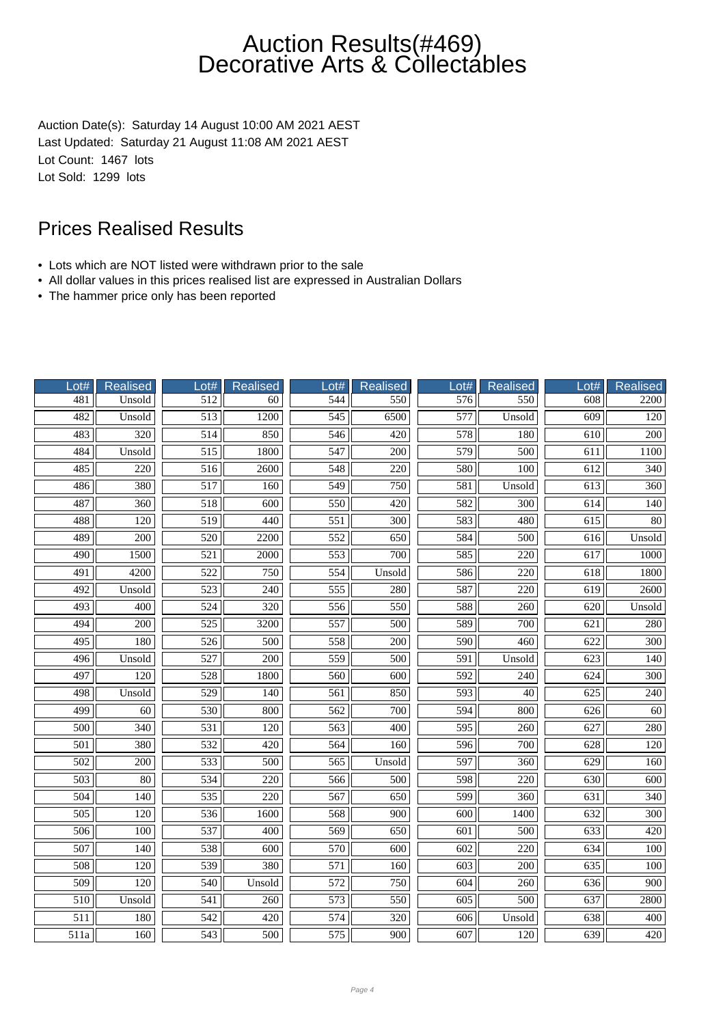Auction Date(s): Saturday 14 August 10:00 AM 2021 AEST Last Updated: Saturday 21 August 11:08 AM 2021 AEST Lot Count: 1467 lots Lot Sold: 1299 lots

- Lots which are NOT listed were withdrawn prior to the sale
- All dollar values in this prices realised list are expressed in Australian Dollars
- The hammer price only has been reported

| Lot#             | Realised         | Lot#             | <b>Realised</b>  | Lot#             | <b>Realised</b>  | $-$ ot#          | Realised         | Lot#             | <b>Realised</b>  |
|------------------|------------------|------------------|------------------|------------------|------------------|------------------|------------------|------------------|------------------|
| 481              | Unsold           | 512              | 60               | 544              | 550              | 576              | 550              | 608              | 2200             |
| 482              | Unsold           | 513              | 1200             | 545              | 6500             | 577              | Unsold           | 609              | 120              |
| 483              | 320              | 514              | 850              | 546              | 420              | 578              | 180              | $\overline{610}$ | $\overline{200}$ |
| 484              | Unsold           | 515              | 1800             | 547              | 200              | 579              | 500              | 611              | 1100             |
| 485              | 220              | 516              | 2600             | 548              | 220              | 580              | 100              | 612              | 340              |
| 486              | 380              | $\overline{517}$ | 160              | 549              | 750              | 581              | Unsold           | $\overline{613}$ | 360              |
| 487              | 360              | $\overline{518}$ | $\overline{600}$ | 550              | 420              | 582              | $\overline{300}$ | $\overline{614}$ | 140              |
| 488              | 120              | $\overline{519}$ | 440              | 551              | 300              | 583              | 480              | $\overline{615}$ | 80               |
| 489              | 200              | 520              | 2200             | 552              | 650              | 584              | 500              | 616              | Unsold           |
| 490              | 1500             | 521              | 2000             | 553              | 700              | 585              | 220              | 617              | 1000             |
| 491              | 4200             | 522              | 750              | 554              | Unsold           | 586              | 220              | 618              | 1800             |
| $\overline{492}$ | Unsold           | $\overline{523}$ | 240              | 555              | 280              | 587              | $\overline{220}$ | 619              | 2600             |
| 493              | $\overline{400}$ | $\overline{524}$ | $\overline{320}$ | 556              | 550              | 588              | 260              | 620              | Unsold           |
| 494              | 200              | 525              | 3200             | 557              | 500              | 589              | 700              | 621              | 280              |
| 495              | 180              | 526              | 500              | 558              | 200              | 590              | 460              | 622              | 300              |
| 496              | Unsold           | 527              | 200              | 559              | 500              | 591              | Unsold           | 623              | 140              |
| 497              | 120              | 528              | 1800             | 560              | $\overline{600}$ | 592              | $\overline{240}$ | 624              | 300              |
| 498              | Unsold           | $\overline{529}$ | 140              | 561              | 850              | $\overline{593}$ | $\overline{40}$  | $\overline{625}$ | 240              |
| 499              | $\overline{60}$  | 530              | 800              | 562              | 700              | 594              | 800              | $\overline{626}$ | $\overline{60}$  |
| 500              | 340              | 531              | 120              | 563              | 400              | 595              | 260              | 627              | 280              |
| 501              | 380              | 532              | 420              | 564              | 160              | 596              | 700              | 628              | 120              |
| 502              | 200              | 533              | 500              | 565              | Unsold           | 597              | 360              | 629              | 160              |
| $\overline{503}$ | $\overline{80}$  | 534              | $\overline{220}$ | 566              | 500              | 598              | $\overline{220}$ | 630              | $\overline{600}$ |
| 504              | $\overline{140}$ | 535              | $\overline{220}$ | 567              | 650              | 599              | $\overline{360}$ | 631              | 340              |
| $\overline{505}$ | 120              | 536              | 1600             | 568              | 900              | 600              | 1400             | 632              | 300              |
| 506              | 100              | 537              | 400              | 569              | 650              | 601              | 500              | 633              | 420              |
| $\overline{507}$ | 140              | 538              | 600              | 570              | $\overline{600}$ | 602              | 220              | 634              | $\overline{100}$ |
| 508              | 120              | 539              | 380              | 571              | 160              | 603              | 200              | 635              | 100              |
| $\overline{509}$ | $\overline{120}$ | 540              | Unsold           | $\overline{572}$ | 750              | 604              | $\overline{260}$ | 636              | $\overline{900}$ |
| 510              | Unsold           | 541              | 260              | 573              | 550              | $\overline{605}$ | 500              | 637              | 2800             |
| $\overline{511}$ | 180              | 542              | 420              | 574              | 320              | 606              | Unsold           | 638              | 400              |
| 511a             | 160              | 543              | 500              | 575              | 900              | 607              | 120              | 639              | 420              |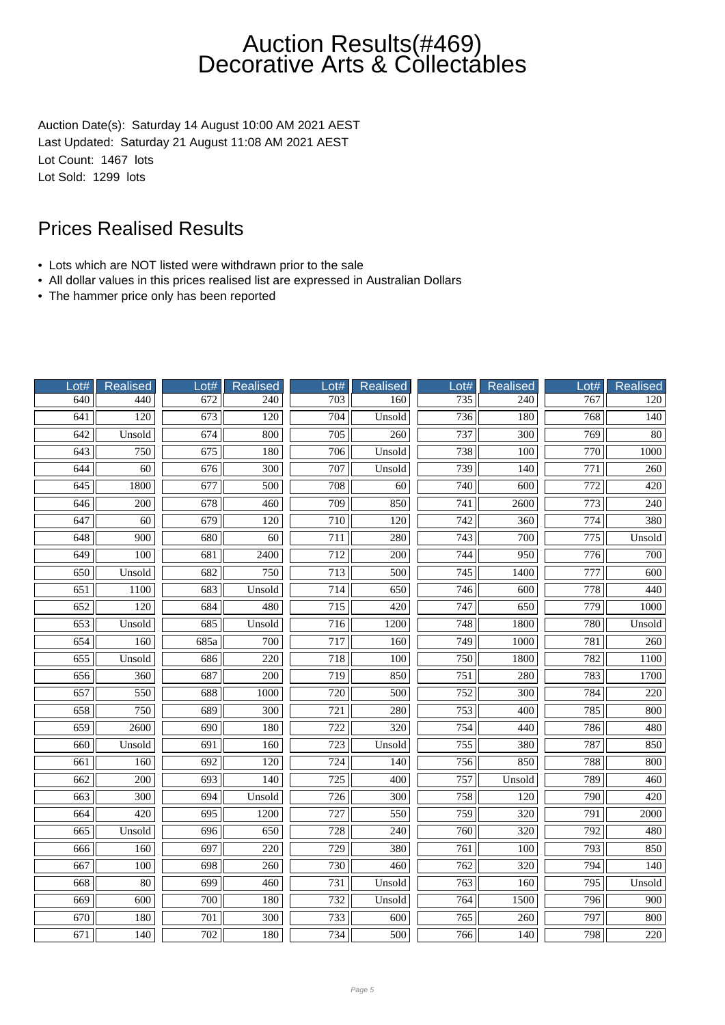Auction Date(s): Saturday 14 August 10:00 AM 2021 AEST Last Updated: Saturday 21 August 11:08 AM 2021 AEST Lot Count: 1467 lots Lot Sold: 1299 lots

- Lots which are NOT listed were withdrawn prior to the sale
- All dollar values in this prices realised list are expressed in Australian Dollars
- The hammer price only has been reported

| Lot#             | <b>Realised</b>  | Lot#             | <b>Realised</b>  | Lot#             | <b>Realised</b>  | Lot#             | Realised         | Lot#             | <b>Realised</b>  |
|------------------|------------------|------------------|------------------|------------------|------------------|------------------|------------------|------------------|------------------|
| 640              | 440              | 672              | 240              | 703              | 160              | 735              | 240              | 767              | 120              |
| 641              | $\overline{120}$ | $\overline{673}$ | $\overline{120}$ | 704              | Unsold           | $\overline{736}$ | 180              | 768              | $\overline{140}$ |
| 642              | Unsold           | 674              | 800              | $\overline{705}$ | $\overline{260}$ | 737              | $\overline{300}$ | 769              | $\overline{80}$  |
| 643              | 750              | 675              | 180              | 706              | Unsold           | 738              | 100              | 770              | 1000             |
| 644              | 60               | 676              | 300              | 707              | Unsold           | 739              | 140              | 771              | 260              |
| 645              | 1800             | 677              | $\overline{500}$ | 708              | $\overline{60}$  | 740              | 600              | $\overline{772}$ | $\overline{420}$ |
| 646              | 200              | 678              | 460              | 709              | 850              | 741              | 2600             | 773              | 240              |
| 647              | 60               | 679              | $\overline{120}$ | 710              | 120              | $\overline{742}$ | $\overline{360}$ | $\overline{774}$ | 380              |
| 648              | 900              | 680              | 60               | $\overline{711}$ | 280              | 743              | 700              | $\overline{775}$ | Unsold           |
| 649              | 100              | 681              | 2400             | 712              | 200              | 744              | 950              | 776              | 700              |
| 650              | Unsold           | 682              | 750              | 713              | 500              | 745              | 1400             | 777              | 600              |
| 651              | 1100             | 683              | Unsold           | $\overline{714}$ | 650              | $\overline{746}$ | 600              | 778              | 440              |
| $\overline{652}$ | $\overline{120}$ | 684              | 480              | 715              | 420              | $\overline{747}$ | 650              | 779              | 1000             |
| 653              | Unsold           | 685              | Unsold           | 716              | 1200             | 748              | 1800             | 780              | Unsold           |
| $\overline{654}$ | 160              | 685a             | 700              | 717              | 160              | $\frac{749}{ }$  | 1000             | 781              | 260              |
| 655              | Unsold           | 686              | 220              | 718              | 100              | 750              | 1800             | 782              | 1100             |
| 656              | 360              | 687              | $\overline{200}$ | 719              | 850              | $\overline{751}$ | 280              | 783              | 1700             |
| 657              | 550              | 688              | 1000             | 720              | 500              | 752              | 300              | 784              | 220              |
| 658              | 750              | 689              | $\overline{300}$ | $\overline{721}$ | 280              | 753              | $\overline{400}$ | 785              | 800              |
| 659              | 2600             | 690              | 180              | 722              | 320              | 754              | 440              | 786              | 480              |
| 660              | Unsold           | 691              | 160              | 723              | Unsold           | 755              | 380              | 787              | 850              |
| 661              | 160              | 692              | $\overline{120}$ | 724              | 140              | 756              | 850              | 788              | 800              |
| 662              | $\overline{200}$ | $\overline{693}$ | $\overline{140}$ | $\overline{725}$ | 400              | $\overline{757}$ | Unsold           | 789              | 460              |
| 663              | $\overline{300}$ | 694              | Unsold           | 726              | $\overline{300}$ | 758              | $\overline{120}$ | 790              | 420              |
| 664              | 420              | 695              | 1200             | 727              | 550              | 759              | 320              | 791              | 2000             |
| 665              | Unsold           | 696              | 650              | 728              | 240              | 760              | 320              | 792              | 480              |
| 666              | 160              | 697              | 220              | 729              | 380              | 761              | 100              | 793              | 850              |
| $\overline{667}$ | 100              | 698              | 260              | 730              | 460              | $\overline{762}$ | 320              | 794              | 140              |
| 668              | 80               | 699              | 460              | 731              | Unsold           | 763              | 160              | 795              | Unsold           |
| 669              | 600              | 700              | 180              | 732              | Unsold           | 764              | 1500             | 796              | 900              |
| 670              | 180              | 701              | 300              | 733              | 600              | 765              | 260              | 797              | 800              |
| 671              | 140              | 702              | 180              | 734              | 500              | 766              | 140              | 798              | 220              |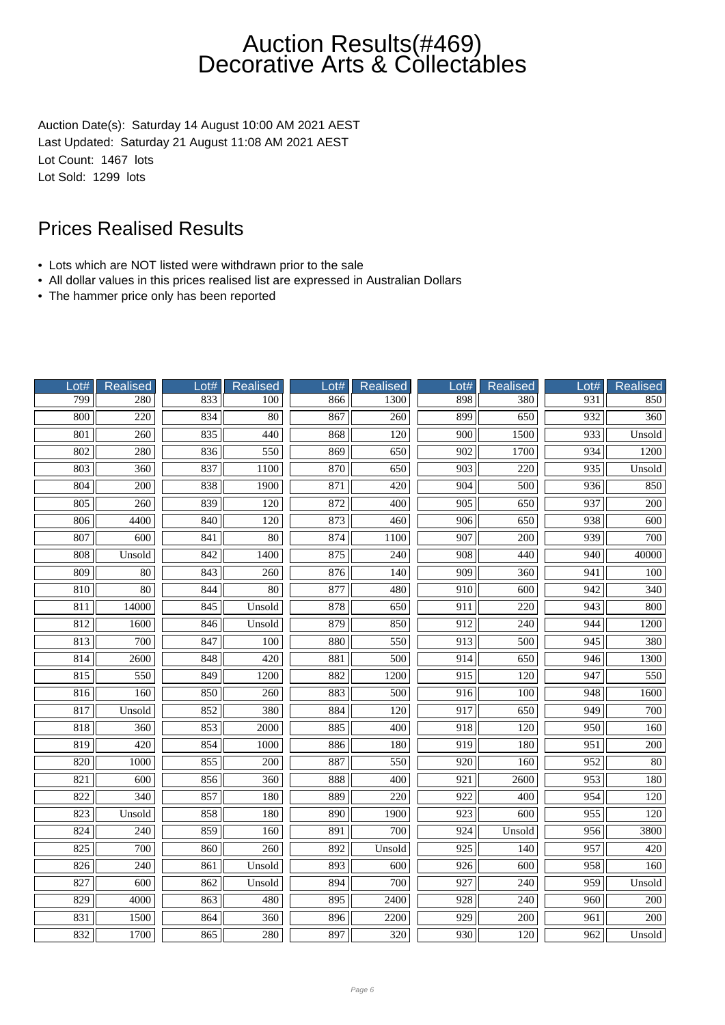Auction Date(s): Saturday 14 August 10:00 AM 2021 AEST Last Updated: Saturday 21 August 11:08 AM 2021 AEST Lot Count: 1467 lots Lot Sold: 1299 lots

- Lots which are NOT listed were withdrawn prior to the sale
- All dollar values in this prices realised list are expressed in Australian Dollars
- The hammer price only has been reported

| Lot#             | Realised         | Lot# | <b>Realised</b>  | Lot#             | <b>Realised</b>  | Lot#             | <b>Realised</b>  | Lot#             | <b>Realised</b>  |
|------------------|------------------|------|------------------|------------------|------------------|------------------|------------------|------------------|------------------|
| 799              | 280              | 833  | 100              | 866              | 1300             | 898              | 380              | 931              | 850              |
| 800              | $\overline{220}$ | 834  | $\overline{80}$  | 867              | $\overline{260}$ | 899              | 650              | 932              | $\overline{360}$ |
| 801              | 260              | 835  | 440              | 868              | 120              | $\overline{900}$ | 1500             | 933              | Unsold           |
| 802              | 280              | 836  | 550              | 869              | 650              | 902              | 1700             | 934              | 1200             |
| 803              | 360              | 837  | 1100             | 870              | 650              | 903              | 220              | 935              | Unsold           |
| 804              | $\overline{200}$ | 838  | 1900             | 871              | 420              | 904              | 500              | 936              | 850              |
| 805              | 260              | 839  | $\overline{120}$ | 872              | 400              | 905              | 650              | 937              | $\overline{200}$ |
| 806              | 4400             | 840  | $\overline{120}$ | 873              | 460              | $\overline{906}$ | 650              | 938              | $\overline{600}$ |
| 807              | 600              | 841  | 80               | $\overline{874}$ | 1100             | 907              | 200              | 939              | 700              |
| 808              | Unsold           | 842  | 1400             | 875              | 240              | 908              | 440              | 940              | 40000            |
| 809              | 80               | 843  | 260              | 876              | 140              | 909              | 360              | 941              | 100              |
| 810              | $\overline{80}$  | 844  | $\overline{80}$  | 877              | 480              | $\overline{910}$ | $\overline{600}$ | 942              | $\overline{340}$ |
| 811              | 14000            | 845  | Unsold           | 878              | 650              | $\overline{911}$ | 220              | 943              | 800              |
| 812              | 1600             | 846  | Unsold           | 879              | 850              | 912              | 240              | 944              | 1200             |
| 813              | 700              | 847  | 100              | 880              | 550              | $\overline{913}$ | 500              | 945              | 380              |
| 814              | 2600             | 848  | 420              | 881              | 500              | 914              | 650              | 946              | 1300             |
| 815              | 550              | 849  | 1200             | 882              | 1200             | 915              | 120              | 947              | 550              |
| 816              | 160              | 850  | 260              | 883              | 500              | $\overline{916}$ | 100              | 948              | 1600             |
| 817              | Unsold           | 852  | 380              | 884              | $\overline{120}$ | 917              | 650              | 949              | 700              |
| 818              | 360              | 853  | 2000             | 885              | 400              | 918              | 120              | 950              | 160              |
| 819              | 420              | 854  | 1000             | 886              | 180              | 919              | 180              | 951              | 200              |
| 820              | 1000             | 855  | $\overline{200}$ | 887              | 550              | 920              | 160              | 952              | $\overline{80}$  |
| 821              | 600              | 856  | $\overline{360}$ | 888              | $\overline{400}$ | $\overline{921}$ | 2600             | $\overline{953}$ | 180              |
| 822              | 340              | 857  | 180              | 889              | $\overline{220}$ | 922              | 400              | 954              | 120              |
| 823              | Unsold           | 858  | 180              | 890              | 1900             | 923              | 600              | 955              | 120              |
| 824              | 240              | 859  | 160              | 891              | 700              | 924              | Unsold           | 956              | 3800             |
| 825              | 700              | 860  | 260              | 892              | Unsold           | 925              | 140              | 957              | 420              |
| 826              | 240              | 861  | Unsold           | 893              | 600              | $\overline{926}$ | 600              | 958              | 160              |
| 827              | 600              | 862  | Unsold           | 894              | 700              | 927              | 240              | 959              | Unsold           |
| 829              | 4000             | 863  | 480              | 895              | 2400             | 928              | 240              | 960              | $\overline{200}$ |
| $\overline{831}$ | 1500             | 864  | 360              | 896              | 2200             | 929              | 200              | 961              | 200              |
| 832              | 1700             | 865  | 280              | 897              | 320              | 930              | 120              | 962              | Unsold           |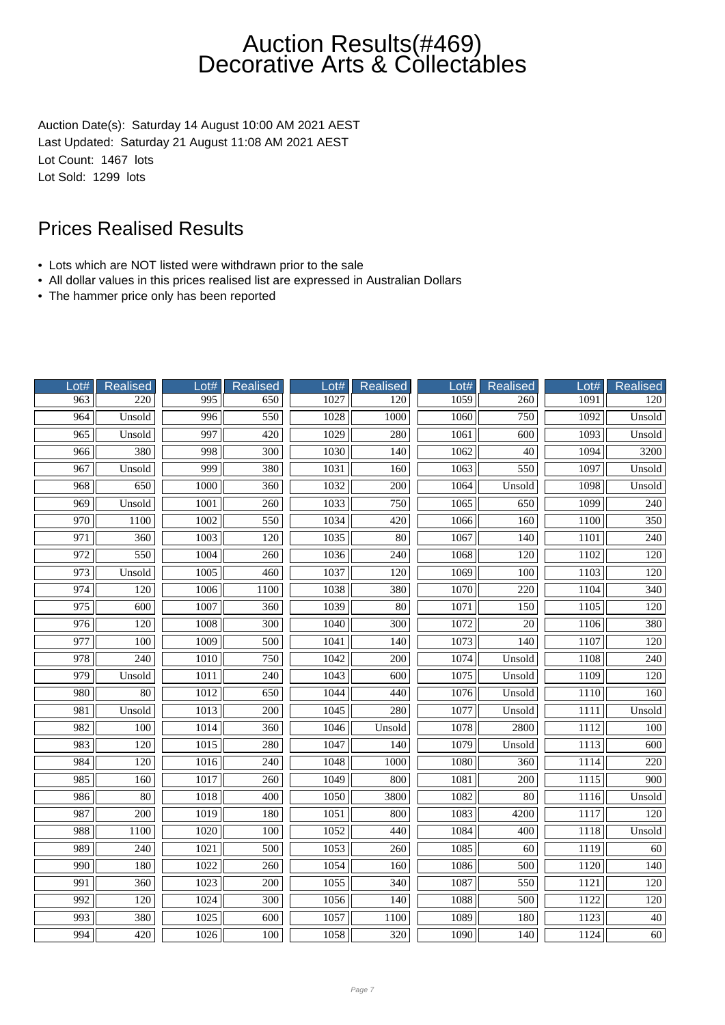Auction Date(s): Saturday 14 August 10:00 AM 2021 AEST Last Updated: Saturday 21 August 11:08 AM 2021 AEST Lot Count: 1467 lots Lot Sold: 1299 lots

- Lots which are NOT listed were withdrawn prior to the sale
- All dollar values in this prices realised list are expressed in Australian Dollars
- The hammer price only has been reported

| Lot#             | <b>Realised</b>  | Lot# | <b>Realised</b>  | Lot# | <b>Realised</b>  | Lot# | Realised         | Lot# | Realised         |
|------------------|------------------|------|------------------|------|------------------|------|------------------|------|------------------|
| 963              | 220              | 995  | 650              | 1027 | 120              | 1059 | 260              | 1091 | 120              |
| 964              | Unsold           | 996  | 550              | 1028 | 1000             | 1060 | 750              | 1092 | Unsold           |
| 965              | Unsold           | 997  | 420              | 1029 | 280              | 1061 | $\overline{600}$ | 1093 | Unsold           |
| 966              | 380              | 998  | 300              | 1030 | 140              | 1062 | $\overline{40}$  | 1094 | 3200             |
| 967              | Unsold           | 999  | 380              | 1031 | 160              | 1063 | 550              | 1097 | Unsold           |
| 968              | 650              | 1000 | 360              | 1032 | $\overline{200}$ | 1064 | Unsold           | 1098 | Unsold           |
| 969              | Unsold           | 1001 | 260              | 1033 | 750              | 1065 | 650              | 1099 | $\overline{240}$ |
| $\overline{970}$ | 1100             | 1002 | 550              | 1034 | 420              | 1066 | 160              | 1100 | 350              |
| 971              | 360              | 1003 | 120              | 1035 | 80               | 1067 | 140              | 1101 | 240              |
| 972              | 550              | 1004 | 260              | 1036 | 240              | 1068 | 120              | 1102 | 120              |
| 973              | Unsold           | 1005 | 460              | 1037 | 120              | 1069 | 100              | 1103 | 120              |
| 974              | 120              | 1006 | 1100             | 1038 | 380              | 1070 | $\overline{220}$ | 1104 | $\overline{340}$ |
| 975              | $\overline{600}$ | 1007 | 360              | 1039 | $\overline{80}$  | 1071 | 150              | 1105 | 120              |
| 976              | 120              | 1008 | $\overline{300}$ | 1040 | $\overline{300}$ | 1072 | $\overline{20}$  | 1106 | 380              |
| 977              | 100              | 1009 | 500              | 1041 | 140              | 1073 | 140              | 1107 | 120              |
| 978              | 240              | 1010 | 750              | 1042 | 200              | 1074 | Unsold           | 1108 | 240              |
| 979              | Unsold           | 1011 | $\overline{240}$ | 1043 | 600              | 1075 | Unsold           | 1109 | 120              |
| 980              | 80               | 1012 | 650              | 1044 | 440              | 1076 | Unsold           | 1110 | 160              |
| 981              | Unsold           | 1013 | $\overline{200}$ | 1045 | 280              | 1077 | Unsold           | 1111 | Unsold           |
| 982              | 100              | 1014 | 360              | 1046 | Unsold           | 1078 | 2800             | 1112 | 100              |
| 983              | 120              | 1015 | 280              | 1047 | 140              | 1079 | Unsold           | 1113 | 600              |
| 984              | $\overline{120}$ | 1016 | $\overline{240}$ | 1048 | 1000             | 1080 | 360              | 1114 | $\overline{220}$ |
| 985              | 160              | 1017 | $\overline{260}$ | 1049 | 800              | 1081 | $\overline{200}$ | 1115 | 900              |
| 986              | 80               | 1018 | 400              | 1050 | 3800             | 1082 | $\overline{80}$  | 1116 | Unsold           |
| 987              | 200              | 1019 | 180              | 1051 | 800              | 1083 | 4200             | 1117 | 120              |
| 988              | 1100             | 1020 | 100              | 1052 | 440              | 1084 | 400              | 1118 | Unsold           |
| 989              | 240              | 1021 | 500              | 1053 | 260              | 1085 | 60               | 1119 | 60               |
| 990              | 180              | 1022 | 260              | 1054 | 160              | 1086 | $\overline{500}$ | 1120 | 140              |
| 991              | 360              | 1023 | 200              | 1055 | 340              | 1087 | 550              | 1121 | 120              |
| 992              | 120              | 1024 | $\overline{300}$ | 1056 | 140              | 1088 | 500              | 1122 | 120              |
| 993              | 380              | 1025 | 600              | 1057 | 1100             | 1089 | 180              | 1123 | 40               |
| 994              | 420              | 1026 | 100              | 1058 | 320              | 1090 | 140              | 1124 | 60               |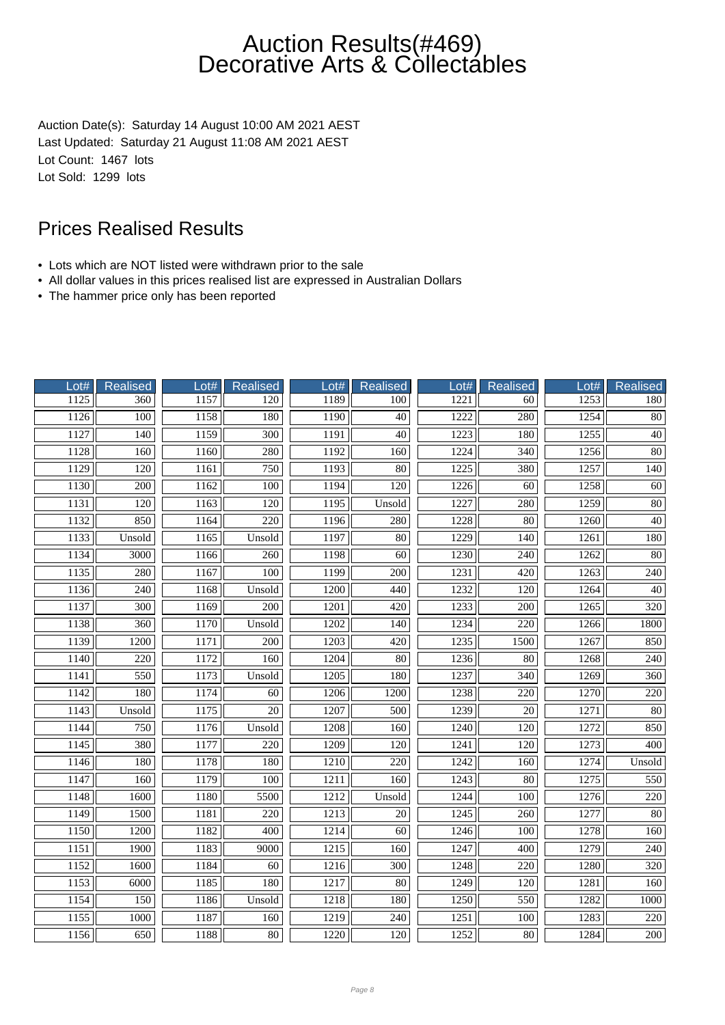Auction Date(s): Saturday 14 August 10:00 AM 2021 AEST Last Updated: Saturday 21 August 11:08 AM 2021 AEST Lot Count: 1467 lots Lot Sold: 1299 lots

- Lots which are NOT listed were withdrawn prior to the sale
- All dollar values in this prices realised list are expressed in Australian Dollars
- The hammer price only has been reported

| Lot# | Realised         | Lot# | Realised         | Lot# | <b>Realised</b>  | Lot# | Realised         | Lot# | Realised         |
|------|------------------|------|------------------|------|------------------|------|------------------|------|------------------|
| 1125 | $\overline{360}$ | 1157 | 120              | 1189 | 100              | 1221 | 60               | 1253 | 180              |
| 1126 | 100              | 1158 | 180              | 1190 | 40               | 1222 | 280              | 1254 | $80\,$           |
| 1127 | $\overline{140}$ | 1159 | $\overline{300}$ | 1191 | $\overline{40}$  | 1223 | 180              | 1255 | 40               |
| 1128 | 160              | 1160 | 280              | 1192 | 160              | 1224 | 340              | 1256 | 80               |
| 1129 | 120              | 1161 | 750              | 1193 | 80               | 1225 | 380              | 1257 | 140              |
| 1130 | 200              | 1162 | 100              | 1194 | 120              | 1226 | 60               | 1258 | 60               |
| 1131 | $\overline{120}$ | 1163 | $\overline{120}$ | 1195 | Unsold           | 1227 | 280              | 1259 | $\overline{80}$  |
| 1132 | 850              | 1164 | 220              | 1196 | 280              | 1228 | 80               | 1260 | $\overline{40}$  |
| 1133 | Unsold           | 1165 | Unsold           | 1197 | 80               | 1229 | 140              | 1261 | 180              |
| 1134 | 3000             | 1166 | 260              | 1198 | 60               | 1230 | 240              | 1262 | 80               |
| 1135 | 280              | 1167 | 100              | 1199 | 200              | 1231 | 420              | 1263 | 240              |
| 1136 | 240              | 1168 | Unsold           | 1200 | 440              | 1232 | 120              | 1264 | 40               |
| 1137 | $\overline{300}$ | 1169 | 200              | 1201 | 420              | 1233 | $\overline{200}$ | 1265 | $\overline{320}$ |
| 1138 | 360              | 1170 | Unsold           | 1202 | 140              | 1234 | 220              | 1266 | 1800             |
| 1139 | 1200             | 1171 | 200              | 1203 | 420              | 1235 | 1500             | 1267 | 850              |
| 1140 | 220              | 1172 | 160              | 1204 | 80               | 1236 | $80\,$           | 1268 | 240              |
| 1141 | 550              | 1173 | Unsold           | 1205 | 180              | 1237 | $\overline{340}$ | 1269 | 360              |
| 1142 | 180              | 1174 | 60               | 1206 | 1200             | 1238 | $\overline{220}$ | 1270 | $\overline{220}$ |
| 1143 | Unsold           | 1175 | $\overline{20}$  | 1207 | 500              | 1239 | $\overline{20}$  | 1271 | 80               |
| 1144 | 750              | 1176 | Unsold           | 1208 | 160              | 1240 | 120              | 1272 | 850              |
| 1145 | 380              | 1177 | 220              | 1209 | 120              | 1241 | 120              | 1273 | 400              |
| 1146 | 180              | 1178 | 180              | 1210 | $\overline{220}$ | 1242 | 160              | 1274 | Unsold           |
| 1147 | 160              | 1179 | 100              | 1211 | 160              | 1243 | $\overline{80}$  | 1275 | $\frac{550}{ }$  |
| 1148 | 1600             | 1180 | 5500             | 1212 | Unsold           | 1244 | 100              | 1276 | $220\,$          |
| 1149 | 1500             | 1181 | 220              | 1213 | 20               | 1245 | 260              | 1277 | 80               |
| 1150 | 1200             | 1182 | 400              | 1214 | 60               | 1246 | 100              | 1278 | 160              |
| 1151 | 1900             | 1183 | 9000             | 1215 | 160              | 1247 | 400              | 1279 | 240              |
| 1152 | 1600             | 1184 | 60               | 1216 | $\overline{300}$ | 1248 | 220              | 1280 | 320              |
| 1153 | 6000             | 1185 | 180              | 1217 | $\overline{80}$  | 1249 | $\overline{120}$ | 1281 | 160              |
| 1154 | 150              | 1186 | Unsold           | 1218 | 180              | 1250 | 550              | 1282 | 1000             |
| 1155 | 1000             | 1187 | 160              | 1219 | 240              | 1251 | 100              | 1283 | 220              |
| 1156 | 650              | 1188 | $80\,$           | 1220 | 120              | 1252 | 80               | 1284 | 200              |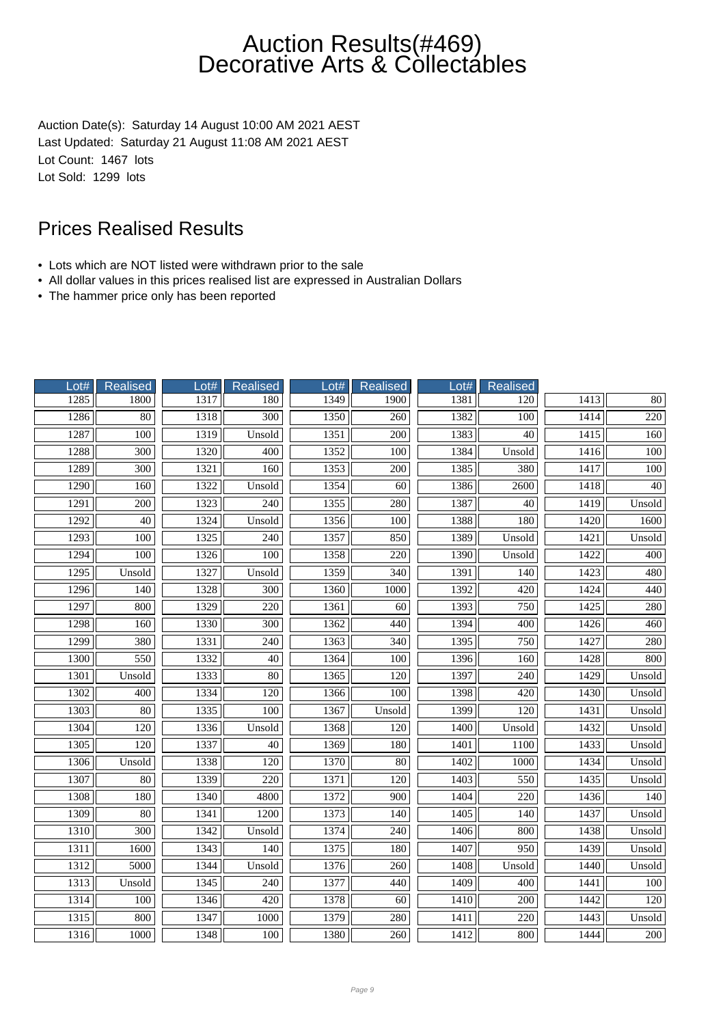Auction Date(s): Saturday 14 August 10:00 AM 2021 AEST Last Updated: Saturday 21 August 11:08 AM 2021 AEST Lot Count: 1467 lots Lot Sold: 1299 lots

- Lots which are NOT listed were withdrawn prior to the sale
- All dollar values in this prices realised list are expressed in Australian Dollars
- The hammer price only has been reported

| Lot# | Realised         | Lot# | <b>Realised</b>  | Lot# | <b>Realised</b>  | Lot# | Realised         |      |                  |
|------|------------------|------|------------------|------|------------------|------|------------------|------|------------------|
| 1285 | 1800             | 1317 | 180              | 1349 | 1900             | 1381 | 120              | 1413 | 80               |
| 1286 | $\overline{80}$  | 1318 | $\overline{300}$ | 1350 | 260              | 1382 | $\overline{100}$ | 1414 | $\overline{220}$ |
| 1287 | $\overline{100}$ | 1319 | Unsold           | 1351 | 200              | 1383 | $\overline{40}$  | 1415 | 160              |
| 1288 | 300              | 1320 | 400              | 1352 | 100              | 1384 | Unsold           | 1416 | 100              |
| 1289 | 300              | 1321 | 160              | 1353 | 200              | 1385 | 380              | 1417 | 100              |
| 1290 | 160              | 1322 | Unsold           | 1354 | 60               | 1386 | 2600             | 1418 | 40               |
| 1291 | 200              | 1323 | 240              | 1355 | 280              | 1387 | 40               | 1419 | Unsold           |
| 1292 | 40               | 1324 | Unsold           | 1356 | 100              | 1388 | 180              | 1420 | 1600             |
| 1293 | 100              | 1325 | 240              | 1357 | 850              | 1389 | Unsold           | 1421 | Unsold           |
| 1294 | 100              | 1326 | 100              | 1358 | 220              | 1390 | Unsold           | 1422 | 400              |
| 1295 | Unsold           | 1327 | Unsold           | 1359 | 340              | 1391 | 140              | 1423 | 480              |
| 1296 | 140              | 1328 | 300              | 1360 | 1000             | 1392 | $\overline{420}$ | 1424 | 440              |
| 1297 | 800              | 1329 | $\overline{220}$ | 1361 | 60               | 1393 | 750              | 1425 | 280              |
| 1298 | 160              | 1330 | $\overline{300}$ | 1362 | 440              | 1394 | 400              | 1426 | 460              |
| 1299 | 380              | 1331 | 240              | 1363 | 340              | 1395 | 750              | 1427 | 280              |
| 1300 | 550              | 1332 | 40               | 1364 | 100              | 1396 | 160              | 1428 | 800              |
| 1301 | Unsold           | 1333 | 80               | 1365 | 120              | 1397 | $\overline{240}$ | 1429 | Unsold           |
| 1302 | 400              | 1334 | 120              | 1366 | 100              | 1398 | 420              | 1430 | Unsold           |
| 1303 | 80               | 1335 | 100              | 1367 | Unsold           | 1399 | 120              | 1431 | Unsold           |
| 1304 | 120              | 1336 | Unsold           | 1368 | 120              | 1400 | Unsold           | 1432 | Unsold           |
| 1305 | 120              | 1337 | 40               | 1369 | 180              | 1401 | 1100             | 1433 | Unsold           |
| 1306 | Unsold           | 1338 | 120              | 1370 | 80               | 1402 | 1000             | 1434 | Unsold           |
| 1307 | $\overline{80}$  | 1339 | $\overline{220}$ | 1371 | $\overline{120}$ | 1403 | 550              | 1435 | Unsold           |
| 1308 | 180              | 1340 | 4800             | 1372 | 900              | 1404 | $\overline{220}$ | 1436 | 140              |
| 1309 | 80               | 1341 | 1200             | 1373 | 140              | 1405 | 140              | 1437 | Unsold           |
| 1310 | 300              | 1342 | Unsold           | 1374 | 240              | 1406 | 800              | 1438 | Unsold           |
| 1311 | 1600             | 1343 | 140              | 1375 | 180              | 1407 | 950              | 1439 | Unsold           |
| 1312 | 5000             | 1344 | Unsold           | 1376 | 260              | 1408 | Unsold           | 1440 | Unsold           |
| 1313 | Unsold           | 1345 | 240              | 1377 | 440              | 1409 | 400              | 1441 | 100              |
| 1314 | 100              | 1346 | 420              | 1378 | $\overline{60}$  | 1410 | $\overline{200}$ | 1442 | 120              |
| 1315 | 800              | 1347 | 1000             | 1379 | 280              | 1411 | 220              | 1443 | Unsold           |
| 1316 | 1000             | 1348 | 100              | 1380 | 260              | 1412 | 800              | 1444 | 200              |